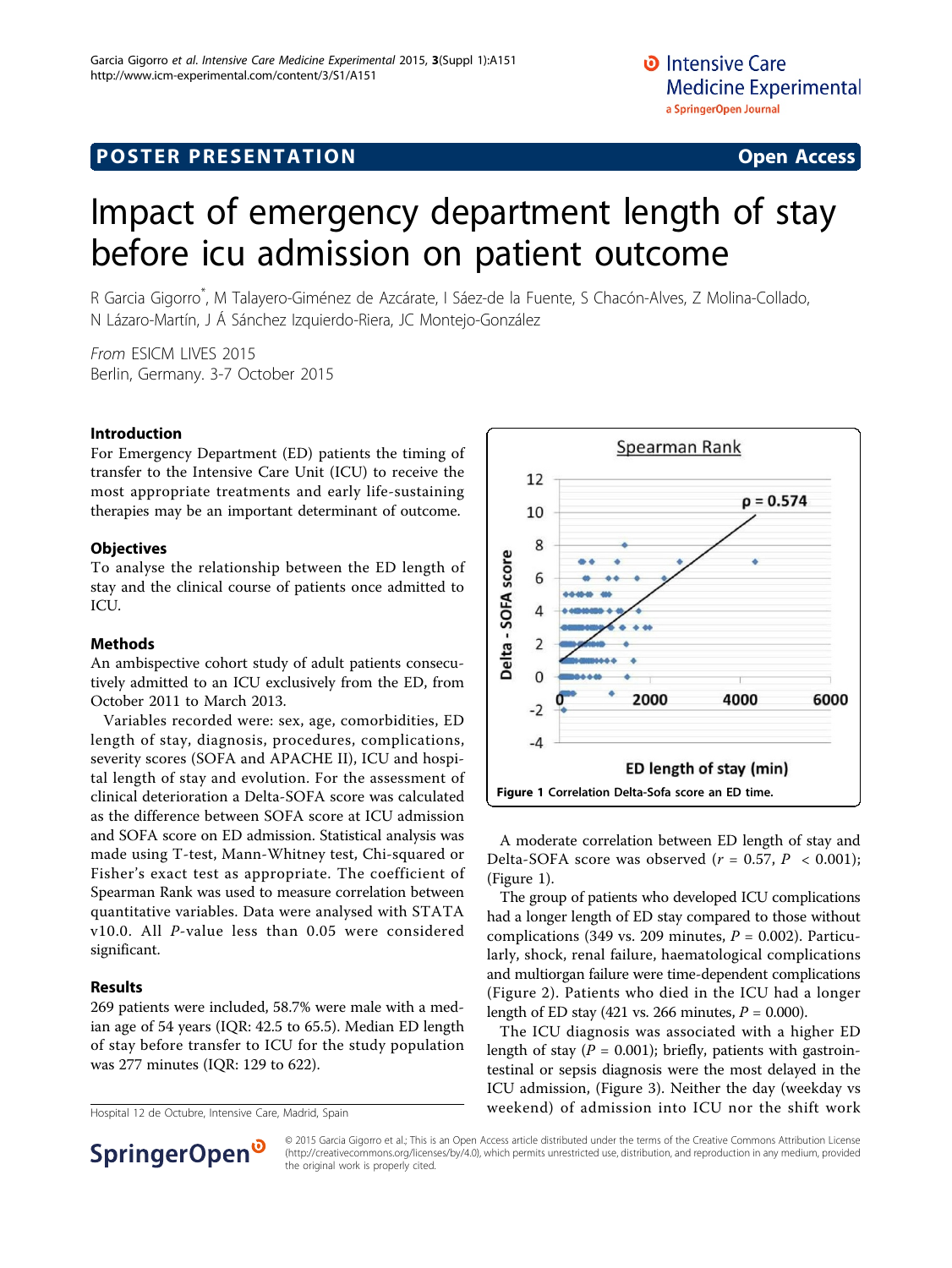## **POSTER PRESENTATION CONSUMING ACCESS**

# Impact of emergency department length of stay before icu admission on patient outcome

R Garcia Gigorro\* , M Talayero-Giménez de Azcárate, I Sáez-de la Fuente, S Chacón-Alves, Z Molina-Collado, N Lázaro-Martín, J Á Sánchez Izquierdo-Riera, JC Montejo-González

From ESICM LIVES 2015 Berlin, Germany. 3-7 October 2015

#### Introduction

For Emergency Department (ED) patients the timing of transfer to the Intensive Care Unit (ICU) to receive the most appropriate treatments and early life-sustaining therapies may be an important determinant of outcome.

#### **Objectives**

To analyse the relationship between the ED length of stay and the clinical course of patients once admitted to ICU.

#### Methods

An ambispective cohort study of adult patients consecutively admitted to an ICU exclusively from the ED, from October 2011 to March 2013.

Variables recorded were: sex, age, comorbidities, ED length of stay, diagnosis, procedures, complications, severity scores (SOFA and APACHE II), ICU and hospital length of stay and evolution. For the assessment of clinical deterioration a Delta-SOFA score was calculated as the difference between SOFA score at ICU admission and SOFA score on ED admission. Statistical analysis was made using T-test, Mann-Whitney test, Chi-squared or Fisher's exact test as appropriate. The coefficient of Spearman Rank was used to measure correlation between quantitative variables. Data were analysed with STATA v10.0. All P-value less than 0.05 were considered significant.

#### Results

269 patients were included, 58.7% were male with a median age of 54 years (IQR: 42.5 to 65.5). Median ED length of stay before transfer to ICU for the study population was 277 minutes (IQR: 129 to 622).



A moderate correlation between ED length of stay and Delta-SOFA score was observed ( $r = 0.57$ ,  $P < 0.001$ ); (Figure 1).

The group of patients who developed ICU complications had a longer length of ED stay compared to those without complications (349 vs. 209 minutes,  $P = 0.002$ ). Particularly, shock, renal failure, haematological complications and multiorgan failure were time-dependent complications (Figure [2](#page-1-0)). Patients who died in the ICU had a longer length of ED stay (421 vs. 266 minutes,  $P = 0.000$ ).

The ICU diagnosis was associated with a higher ED length of stay ( $P = 0.001$ ); briefly, patients with gastrointestinal or sepsis diagnosis were the most delayed in the ICU admission, (Figure [3\)](#page-1-0). Neither the day (weekday vs Hospital 12 de Octubre, Intensive Care, Madrid, Spain **weekend**) of admission into ICU nor the shift work



© 2015 Garcia Gigorro et al.; This is an Open Access article distributed under the terms of the Creative Commons Attribution License [\(http://creativecommons.org/licenses/by/4.0](http://creativecommons.org/licenses/by/4.0)), which permits unrestricted use, distribution, and reproduction in any medium, provided the original work is properly cited.